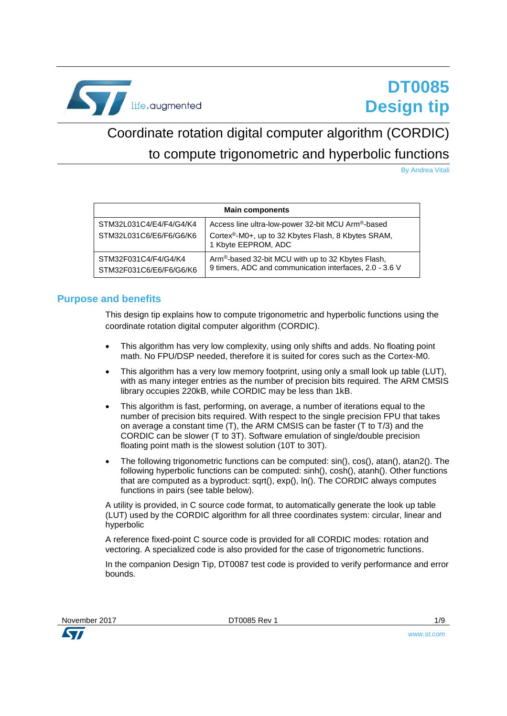

# **DT0085 Design tip**

# <span id="page-0-0"></span>Coordinate rotation digital computer algorithm (CORDIC) to compute trigonometric and hyperbolic functions

By Andrea Vitali

| <b>Main components</b>                             |                                                                                                                                             |  |  |
|----------------------------------------------------|---------------------------------------------------------------------------------------------------------------------------------------------|--|--|
| STM32L031C4/E4/F4/G4/K4<br>STM32L031C6/E6/F6/G6/K6 | Access line ultra-low-power 32-bit MCU Arm®-based<br>Cortex <sup>®</sup> -M0+, up to 32 Kbytes Flash, 8 Kbytes SRAM,<br>1 Kbyte EEPROM, ADC |  |  |
| STM32F031C4/F4/G4/K4<br>STM32F031C6/E6/F6/G6/K6    | Arm®-based 32-bit MCU with up to 32 Kbytes Flash,<br>9 timers, ADC and communication interfaces, 2.0 - 3.6 V                                |  |  |

## **Purpose and benefits**

This design tip explains how to compute trigonometric and hyperbolic functions using the coordinate rotation digital computer algorithm (CORDIC).

- This algorithm has very low complexity, using only shifts and adds. No floating point math. No FPU/DSP needed, therefore it is suited for cores such as the Cortex-M0.
- This algorithm has a very low memory footprint, using only a small look up table (LUT), with as many integer entries as the number of precision bits required. The ARM CMSIS library occupies 220kB, while CORDIC may be less than 1kB.
- This algorithm is fast, performing, on average, a number of iterations equal to the number of precision bits required. With respect to the single precision FPU that takes on average a constant time (T), the ARM CMSIS can be faster (T to T/3) and the CORDIC can be slower (T to 3T). Software emulation of single/double precision floating point math is the slowest solution (10T to 30T).
- The following trigonometric functions can be computed:  $sin()$ ,  $cos()$ ,  $atan()$ ,  $atan2()$ . The following hyperbolic functions can be computed: sinh(), cosh(), atanh(). Other functions that are computed as a byproduct: sqrt(), exp(), ln(). The CORDIC always computes functions in pairs (see table below).

A utility is provided, in C source code format, to automatically generate the look up table (LUT) used by the CORDIC algorithm for all three coordinates system: circular, linear and hyperbolic

A reference fixed-point C source code is provided for all CORDIC modes: rotation and vectoring. A specialized code is also provided for the case of trigonometric functions.

In the companion Design Tip, DT0087 test code is provided to verify performance and error bounds.

November 2017 **[DT0085](#page-0-0) Rev 1** 1/9

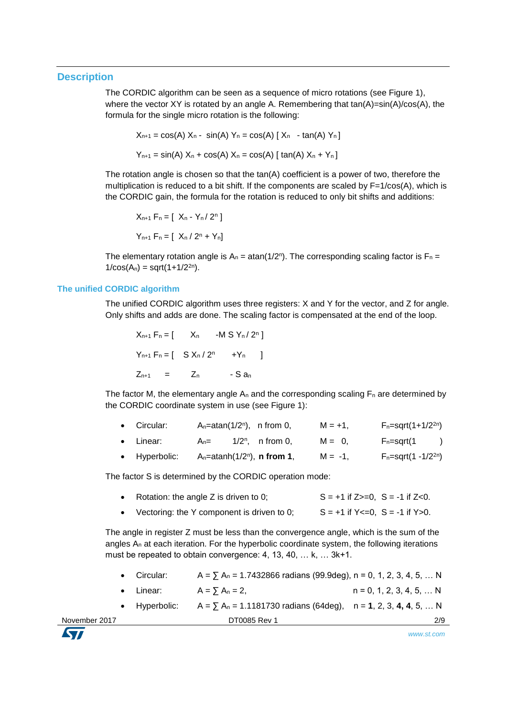## **Description**

The CORDIC algorithm can be seen as a sequence of micro rotations (see Figure 1), where the vector XY is rotated by an angle A. Remembering that  $tan(A)=sin(A)/cos(A)$ , the formula for the single micro rotation is the following:

$$
X_{n+1} = \cos(A) X_n - \sin(A) Y_n = \cos(A) [X_n - \tan(A) Y_n]
$$
  

$$
Y_{n+1} = \sin(A) X_n + \cos(A) X_n = \cos(A) [ \tan(A) X_n + Y_n ]
$$

The rotation angle is chosen so that the tan(A) coefficient is a power of two, therefore the multiplication is reduced to a bit shift. If the components are scaled by  $F=1/cos(A)$ , which is the CORDIC gain, the formula for the rotation is reduced to only bit shifts and additions:

$$
X_{n+1} F_n = [X_n - Y_n / 2^n]
$$
  
 
$$
Y_{n+1} F_n = [X_n / 2^n + Y_n]
$$

The elementary rotation angle is  $A_n = \text{atan}(1/2^n)$ . The corresponding scaling factor is  $F_n =$  $1/cos(A_n) = sqrt(1+1/2^{2n}).$ 

### **The unified CORDIC algorithm**

The unified CORDIC algorithm uses three registers: X and Y for the vector, and Z for angle. Only shifts and adds are done. The scaling factor is compensated at the end of the loop.

$$
X_{n+1} F_n = [X_n -MS Y_n / 2^n]
$$
  
\n $Y_{n+1} F_n = [S X_n / 2^n + Y_n]$   
\n $Z_{n+1} = Z_n - S a_n$ 

The factor M, the elementary angle  $A_n$  and the corresponding scaling  $F_n$  are determined by the CORDIC coordinate system in use (see Figure 1):

| • Circular:           |     | A <sub>n</sub> =atan( $1/2n$ ), n from 0,          | $M = +1$ . | $F_n = \sqrt{(1 + 1/2^{2n})}$     |
|-----------------------|-----|----------------------------------------------------|------------|-----------------------------------|
| • Linear:             | An= | $1/2^n$ , n from 0,                                | $M = 0.$   | $F_n = \sqrt{1}$<br>$\rightarrow$ |
| $\bullet$ Hyperbolic: |     | A <sub>n</sub> =atanh( $1/2n$ ), <b>n from 1</b> , | $M = -1$ . | $F_n = sqrt(1 - 1/2^{2n})$        |

The factor S is determined by the CORDIC operation mode:

| Rotation: the angle Z is driven to 0; | $S = +1$ if $Z \ge 0$ , $S = -1$ if $Z < 0$ . |
|---------------------------------------|-----------------------------------------------|
|                                       |                                               |

• Vectoring: the Y component is driven to 0;  $S = +1$  if  $Y \le 0$ ,  $S = -1$  if  $Y > 0$ .

The angle in register Z must be less than the convergence angle, which is the sum of the angles A<sup>n</sup> at each iteration. For the hyperbolic coordinate system, the following iterations must be repeated to obtain convergence: 4, 13, 40, … k, … 3k+1.

- Circular:  $A = \sum A_n = 1.7432866$  radians (99.9deg), n = 0, 1, 2, 3, 4, 5, ... N
- Linear:  $A = \sum A_n = 2$ ,  $n = 0, 1, 2, 3, 4, 5, ... N$
- November 2017 **[DT0085](#page-0-0) Rev 1** 2/9 Hyperbolic: A = ∑ A<sup>n</sup> = 1.1181730 radians (64deg), n = **1**, 2, 3, **4, 4**, 5, … N

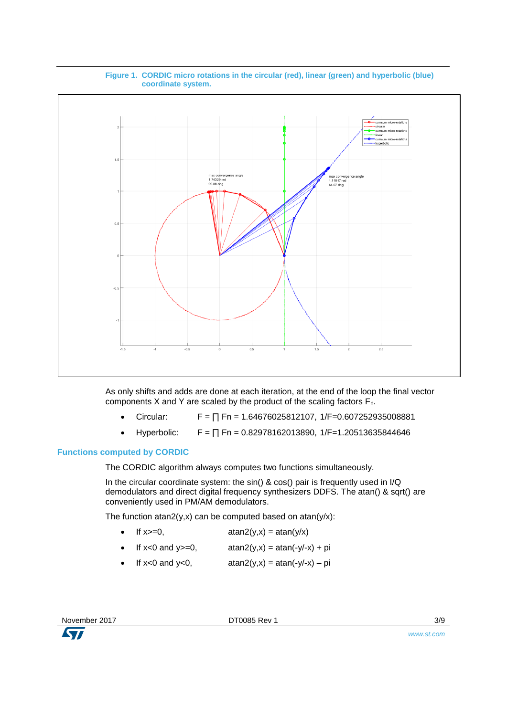

#### **Figure 1. CORDIC micro rotations in the circular (red), linear (green) and hyperbolic (blue) coordinate system.**

As only shifts and adds are done at each iteration, at the end of the loop the final vector components X and Y are scaled by the product of the scaling factors Fn.

- Circular:  $F = \prod Fn = 1.64676025812107$ , 1/F=0.607252935008881
- Hyperbolic:  $F = \prod Fn = 0.82978162013890$ ,  $1/F = 1.20513635844646$

## **Functions computed by CORDIC**

The CORDIC algorithm always computes two functions simultaneously.

In the circular coordinate system: the sin() & cos() pair is frequently used in I/Q demodulators and direct digital frequency synthesizers DDFS. The atan() & sqrt() are conveniently used in PM/AM demodulators.

The function atan2(y,x) can be computed based on atan(y/x):

- If  $x \geq 0$ ,  $atan2(y,x) = \frac{atan(y/x)}{x}$
- If  $x < 0$  and  $y > = 0$ ,  $atan2(y,x) = atan(-y/-x) + pi$
- If  $x < 0$  and  $y < 0$ ,  $atan2(y,x) = atan(-y/-x) pi$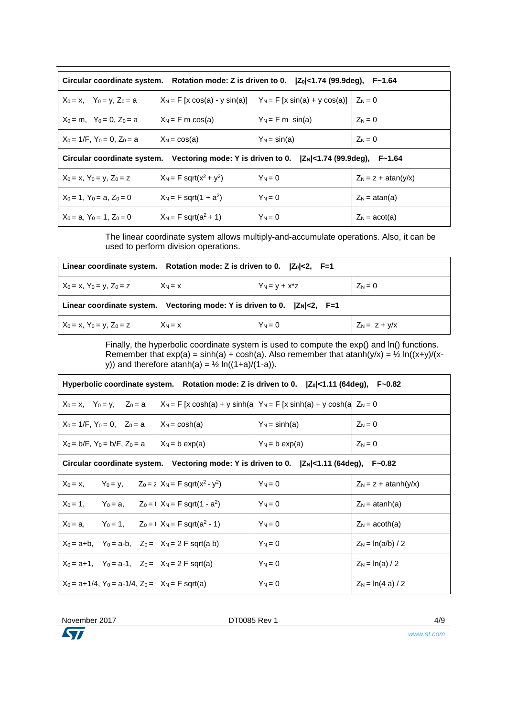| Circular coordinate system. Rotation mode: Z is driven to 0. $ Z_0 $ <1.74 (99.9deg),<br>F~1.64   |                                             |                                  |                              |  |
|---------------------------------------------------------------------------------------------------|---------------------------------------------|----------------------------------|------------------------------|--|
| $X_0 = x$ , $Y_0 = y$ , $Z_0 = a$                                                                 | $X_N = F[x cos(a) - y sin(a)]$              | $Y_N = F[x \sin(a) + y \cos(a)]$ | $Z_N = 0$                    |  |
| $X_0 = m$ , $Y_0 = 0$ , $Z_0 = a$                                                                 | $X_N = F m cos(a)$                          | $Y_N = F m \sin(a)$              | $Z_N = 0$                    |  |
| $X_0 = 1/F$ . $Y_0 = 0$ . $Z_0 = a$<br>$X_N = \cos(a)$                                            |                                             | $Y_N = \sin(a)$                  | $Z_N = 0$                    |  |
| Circular coordinate system. Vectoring mode: Y is driven to 0. $ Z_N  < 1.74$ (99.9deg),<br>F~1.64 |                                             |                                  |                              |  |
| $X_0 = x$ , $Y_0 = y$ , $Z_0 = z$                                                                 | $X_N = F$ sqrt $(x^2 + y^2)$                | $Y_N = 0$                        | $Z_N = z + \text{atan}(y/x)$ |  |
| $X_0 = 1$ , $Y_0 = a$ , $Z_0 = 0$                                                                 | $X_N = F$ sqrt(1 + a <sup>2</sup> )         | $Y_N = 0$                        | $Z_N = \text{atan}(a)$       |  |
| $X_0 = a$ , $Y_0 = 1$ , $Z_0 = 0$                                                                 | $X_N = F \sqrt{3}$ sqrt(a <sup>2</sup> + 1) | $Y_N = 0$                        | $Z_N = acot(a)$              |  |

The linear coordinate system allows multiply-and-accumulate operations. Also, it can be used to perform division operations.

| Linear coordinate system. Rotation mode: Z is driven to 0. $ Z_0 <2$ , F=1    |           |                  |                 |  |
|-------------------------------------------------------------------------------|-----------|------------------|-----------------|--|
| $X_0 = x$ , $Y_0 = y$ , $Z_0 = z$                                             | $X_N = x$ | $Y_N = y + x^*z$ | $Z_N = 0$       |  |
| Linear coordinate system. Vectoring mode: Y is driven to 0. $ Z_N  < 2$ , F=1 |           |                  |                 |  |
| $X_0 = x$ , $Y_0 = y$ , $Z_0 = z$                                             | $X_N = x$ | $Y_N = 0$        | $Z_N = z + y/x$ |  |

Finally, the hyperbolic coordinate system is used to compute the exp() and ln() functions. Remember that  $exp(a) = sinh(a) + cosh(a)$ . Also remember that  $atanh(y/x) = \frac{1}{2} ln((x+y)/(x+y))$ y)) and therefore  $\arcsin(a) = \frac{1}{2} \ln((1+a)/(1-a))$ .

| Hyperbolic coordinate system. Rotation mode: Z is driven to 0.  Zo <1.11 (64deg), F~0.82                         |                   |                   |                               |  |
|------------------------------------------------------------------------------------------------------------------|-------------------|-------------------|-------------------------------|--|
| $X_N = F$ [x cosh(a) + y sinh(a) $Y_N = F$ [x sinh(a) + y cosh(a) $Z_N = 0$<br>$X_0 = x$ , $Y_0 = y$ , $Z_0 = a$ |                   |                   |                               |  |
| $X_0 = 1/F$ , $Y_0 = 0$ , $Z_0 = a$<br>$X_N = \cosh(a)$                                                          |                   | $Y_N = \sinh(a)$  | $Z_N = 0$                     |  |
| $X_0 = b/F$ , $Y_0 = b/F$ , $Z_0 = a$                                                                            | $X_N = b \exp(a)$ | $Y_N = b \exp(a)$ | $Z_N = 0$                     |  |
| Circular coordinate system. Vectoring mode: Y is driven to 0. $ Z_N $ <1.11 (64deg),<br>F~0.82                   |                   |                   |                               |  |
| $X_0 = x$ , $Y_0 = y$ , $Z_0 = 1$ , $X_N = F$ sqrt( $x^2 - y^2$ )                                                |                   | $Y_N = 0$         | $Z_N = z + \text{atanh}(y/x)$ |  |
| $X_0 = 1$ , $Y_0 = a$ , $Z_0 =  X_N  = F$ sqrt(1 - a <sup>2</sup> )                                              |                   | $Y_N = 0$         | $Z_N = \text{atanh}(a)$       |  |
| $X_0 = a$ , $Y_0 = 1$ , $Z_0 = 1$ , $X_N = F$ sqrt( $a^2 - 1$ )                                                  |                   | $Y_N = 0$         | $Z_N = acoth(a)$              |  |
| $X_0 = a + b$ , $Y_0 = a - b$ , $Z_0 =  X_N = 2 \text{ F} \text{ sqrt}(a \text{ b}) $                            |                   | $Y_N = 0$         | $Z_N = \ln(a/b) / 2$          |  |
| $X_0 = a+1$ , $Y_0 = a-1$ , $Z_0 =  X_N = 2 \text{ F} \text{sqrt}(a) $                                           |                   | $Y_N = 0$         | $Z_N = \ln(a)/2$              |  |
| $X_0 = a+1/4$ , $Y_0 = a-1/4$ , $Z_0 =  X_N = F \text{ sqrt}(a) $                                                |                   | $Y_N = 0$         | $Z_N = \ln(4 \text{ a}) / 2$  |  |

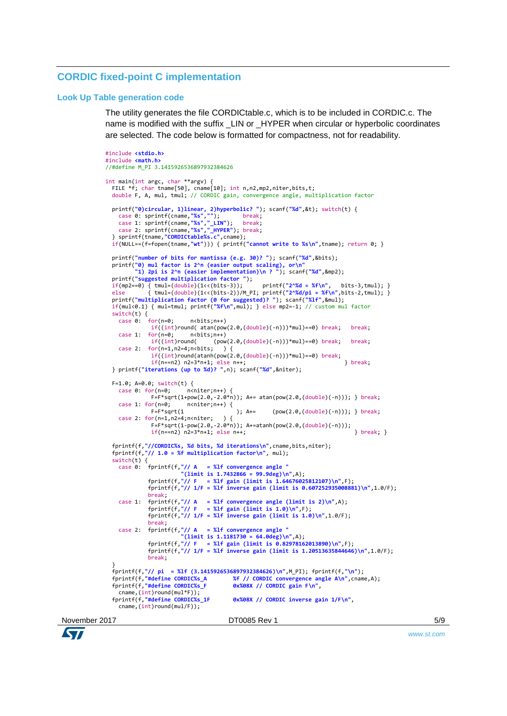# **CORDIC fixed-point C implementation**

#### **Look Up Table generation code**

The utility generates the file CORDICtable.c, which is to be included in CORDIC.c. The name is modified with the suffix LIN or HYPER when circular or hyperbolic coordinates are selected. The code below is formatted for compactness, not for readability.

```
November 2017 DT0085 Rev 1 DT0085 Rev 1 DT0085 Rev 1
            #include <stdio.h>
            #include <math.h>
            //#define M_PI 3.1415926536897932384626
            int main(int argc, char **argv) { 
               FILE *f; char tname[50], cname[10]; int n,n2,mp2,niter,bits,t; 
               double F, A, mul, tmul; // CORDIC gain, convergence angle, multiplication factor
              printf("0)circular, 1)linear, 2)hyperbolic? "); scanf("%d",&t); switch(t) {
              case 0: sprintf(cname,"%s",""); break;
              case 1: sprintf(cname,"%s","_LIN"); break;
              case 2: sprintf(cname,"%s","_HYPER"); break;
              } sprintf(tname,"CORDICtable%s.c",cname); 
               if(NULL==(f=fopen(tname,"wt"))) { printf("cannot write to %s\n",tname); return 0; }
               printf("number of bits for mantissa (e.g. 30)? "); scanf("%d",&bits);
              printf("0) mul factor is 2^n (easier output scaling), or\n"
              "1) 2pi is 2^n (easier implementation)\n ? "); scanf("%d",&mp2); 
              printf("suggested multiplication factor ");<br>if(mp2==0) { tmul=(double)(1<<(bits-3));
              if(mp2==0) { tmul=(double)(1<<(bits-3)); printf("2^%d = %f\n", bits-3,tmul); } 
              else { tmul=(double)(1<<(bits-2))/M_PI; printf("2^%d/pi = %f\n",bits-2,tmul); } 
              printf("multiplication factor (0 for suggested)? "); scanf("%lf",&mul);
              if(mul<0.1) { mul=tmul; printf("%f\n",mul); } else mp2=-1; // custom mul factor
              switch(t) \{<br>case \theta: for(n=\theta:
                case 0: for(n=0: n<sub>th</sub>),if((int)round( atan(pow(2.0, (double)(-n)))*mul)==0) break; break;
              case 1: for(n=0; n<bits;n++) 
              if((int)round( (pow(2.0,(double)(-n)))*mul)==0) break; break; 
              case 2: for(n=1,n2=4;n<bits; ) { 
              if((int)round(atanh(pow(2.0,(double)(-n)))*mul)==0) break;
               if(n==n2) n2=3*n+1; else n++; } break;
              } printf("iterations (up to %d)? ",n); scanf("%d",&niter);
               F=1.0; A=0.0; switch(t) {
              case 0: for(n=0; n<niter;n++) { 
              F=F*sqrt(1+pow(2.0,-2.0*n)); A+= atan(pow(2.0,(double)(-n))); } break;
              case 1: for(n=0; n<niter;n++) { 
                          F=F*sqrt(1 ); A+= (pow(2.0,(double)(-n))); } break;
                case 2: for(n=1,n2=4;n\times niter; ) {
                          F=F*sqrt(1-pow(2.0, -2.0*n)); A+=atanh(pow(2.0,(double)(-n)));
                          if(n == n2) n2=3*n+1; else n++;<br>if(n == n2) n2=3*n+1; else n++; fprintf(f,"//CORDIC%s, %d bits, %d iterations\n",cname,bits,niter);
               fprintf(f,"// 1.0 = %f multiplication factor\n", mul);
              switch(t) {<br>case 0: fprintf(f,"// A
                case 0: fprintf(f,"// A = %1f convergence angle
              "(limit is 1.7432866 = 99.9deg)\n",A);
              fprintf(f,"// F = %lf gain (limit is 1.64676025812107)\n",F);
              fprintf(f,"// 1/F = %lf inverse gain (limit is 0.607252935008881)\n",1.0/F);
              break;
              case 1: fprintf(f,"// A = %lf convergence angle (limit is 2)\n",A);
              fprintf(f,"// F = %lf gain (limit is 1.0)\n",F);
                          fprintf(f,"// 1/F = %lf inverse gain (limit is 1.0)\n",1.0/F); 
                          break;
                case 2: fprintf(f,"// A = %1f convergence angle
                                   "(limit is 1.1181730 = 64.0deg)\n",A);
              fprintf(f,"// F = %lf gain (limit is 0.82978162013890)\n",F);
              fprintf(f,"// 1/F = %lf inverse gain (limit is 1.20513635844646)\n",1.0/F); 
                          break;
              }
               fprintf(f,"// pi = %lf (3.1415926536897932384626)\n",M_PI); fprintf(f,"\n");
                                                  fprintf(f,"#define CORDIC%s_A %f // CORDIC convergence angle A\n",cname,A);
              fprintf(f,"#define CORDIC%_A<br>fprintf(f,"#define CORDIC%_F
              cname,(int)round(mul*F));<br>fprintf(f,"#define CORDIC%s_1F
                                                  6x%08X // CORDIC inverse gain 1/F\n",
                cname,(int)round(mul/F));
```
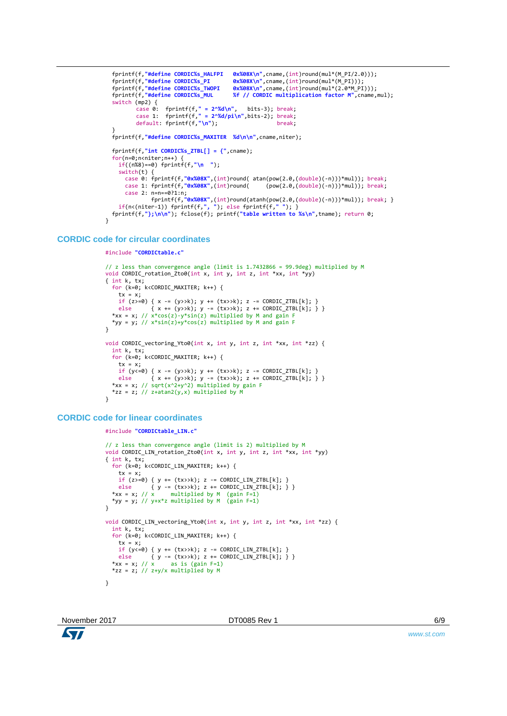```
 fprintf(f,"#define CORDIC%s_HALFPI 0x%08X\n",cname,(int)round(mul*(M_PI/2.0)));
 fprintf(f,"#define CORDIC%s_PI 0x%08X\n",cname,(int)round(mul*(M_PI)));
 fprintf(f,"#define CORDIC%s_TWOPI 0x%08X\n",cname,(int)round(mul*(2.0*M_PI)));
 fprintf(f, "#define CORDIC%s_THOPI %X%OSX\n",cname,(int)round(mul*(2.0*M_PI)));<br>fprintf(f,"#define CORDIC%s_MUDI %f // CORDIC multiplication factor M",cname,mul);
  switch (mp2) {
         case 0: fprintf(f," = 2^%d\n", bits-3); break;
         case 1: fprintf(f," = 2^%d/pi\n",bits-2); break;
         default: fprintf(f,"\n"); break;
 } 
 fprintf(f,"#define CORDIC%s_MAXITER %d\n\n",cname,niter);
  fprintf(f,"int CORDIC%s_ZTBL[] = {",cname); 
  for(n=0;n<niter;n++) { 
    if((n%8)==0) fprintf(f,"\n ");
   switch(t) {
 case 0: fprintf(f,"0x%08X",(int)round( atan(pow(2.0,(double)(-n)))*mul)); break;
 case 1: fprintf(f,"0x%08X",(int)round( (pow(2.0,(double)(-n)))*mul)); break;
 case 2: n=n==0?1:n; 
 fprintf(f,"0x%08X",(int)round(atanh(pow(2.0,(double)(-n)))*mul)); break; }
 if(n<(niter-1)) fprintf(f,", "); else fprintf(f," "); }
 fprintf(f,"};\n\n"); fclose(f); printf("table written to %s\n",tname); return 0;
```
#### **CORDIC code for circular coordinates**

}

```
#include "CORDICtable.c"
```

```
// z less than convergence angle (limit is 1.7432866 = 99.9deg) multiplied by M
void CORDIC_rotation_Zto0(int x, int y, int z, int *xx, int *yy) 
{ int k, tx;
  for (k=0; k<CORDIC_MAXITER; k++) { 
   tx = x:
 if (z>=0) { x -= (y>>k); y += (tx>>k); z -= CORDIC_ZTBL[k]; }
 else { x += (y>>k); y -= (tx>>k); z += CORDIC_ZTBL[k]; } } 
*xx = x; // x*cos(z)-y*sin(z) multiplied by M and gain F
  *yy = y; // x^*sin(z)+y^*cos(z) multiplied by M and gain F
}
void CORDIC_vectoring_Yto0(int x, int y, int z, int *xx, int *zz) { 
   int k, tx;
   for (k=0; k<CORDIC_MAXITER; k++) { 
 tx = x;
 if (y<=0) { x -= (y>>k); y += (tx>>k); z -= CORDIC_ZTBL[k]; }
 else { x += (y>>k); y -= (tx>>k); z += CORDIC_ZTBL[k]; } } 
 *xx = x; // sqrt(x^2+y^2) multiplied by gain F
  *zz = z; // z+atan2(y,x) multiplied by M}
```
### **CORDIC code for linear coordinates**

```
#include "CORDICtable_LIN.c"
// z less than convergence angle (limit is 2) multiplied by M
void CORDIC_LIN_rotation_Zto0(int x, int y, int z, int *xx, int *yy) 
{ int k, tx;
   for (k=0; k<CORDIC_LIN_MAXITER; k++) { 
    tx = x;<br>if (z>=0) { y += (tx>>k); z -= CORDIC_LIN_ZTBL[k]; }
 if (z>=0) { y += (tx>>k); z -= CORDIC_LIN_ZTBL[k]; }
 else { y -= (tx>>k); z += CORDIC_LIN_ZTBL[k]; } } 
*xx = x; // x multiplied by M (gain F=1)
  *yy = y; // y + x * z multiplied by M (gain F=1)
}
void CORDIC_LIN_vectoring_Yto0(int x, int y, int z, int *xx, int *zz) { 
   int k, tx;
   for (k=0; k<CORDIC_LIN_MAXITER; k++) { 
    tx = x;
    if (y<=0) { y += (tx>>k); z -= CORDIC LIN ZTBL[k]; }
 else { y -= (tx>>k); z += CORDIC_LIN_ZTBL[k]; } } 
*xx = x; // x as is (gain F=1)
  *zz = z; // z+y/x multiplied by M
}
```
*www.st.com*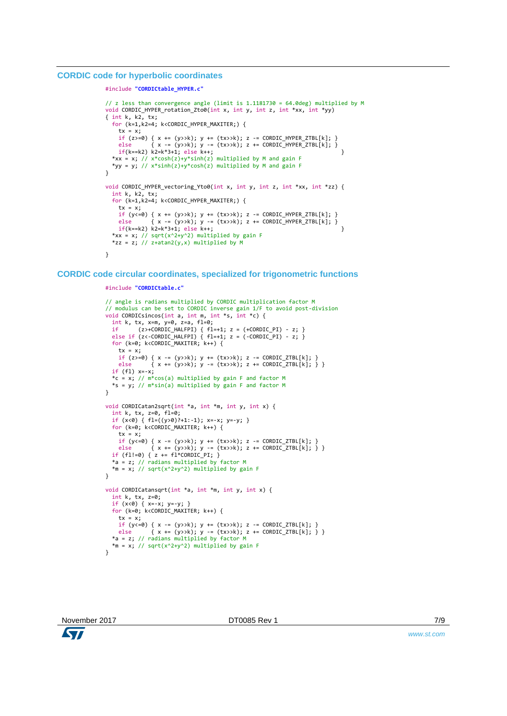#### **CORDIC code for hyperbolic coordinates**

```
#include "CORDICtable_HYPER.c"
```

```
// z less than convergence angle (limit is 1.1181730 = 64.0deg) multiplied by M
void CORDIC_HYPER_rotation_Zto0(int x, int y, int z, int *xx, int *yy) 
\{ int k, k2, tx;
   for (k=1,k2=4; k<CORDIC_HYPER_MAXITER;) { 
    tx = x;if (z>=0) { x += (y>>k); y += (tx>>k); z -= CORDIC_HYPER_ZTBL[k]; }
 else { x -= (y>>k); y -= (tx>>k); z += CORDIC_HYPER_ZTBL[k]; } 
 if(k==k2) k2=k*3+1; else k++; } 
*xx = x; // x^* \cosh(z) + y^* \sinh(z) multiplied by M and gain F
 *yy = y; // x*sinh(z)+y*cosh(z) multiplied by M and gain F
}
void CORDIC_HYPER_vectoring_Yto0(int x, int y, int z, int *xx, int *zz) { 
   int k, k2, tx;
   for (k=1,k2=4; k<CORDIC_HYPER_MAXITER;) { 
    tx = x;
    if (y \le 0) { x += (y \ge k); y += (tx \ge k); z -= CORDIC_HYPER_ZTBL[k]; } else \{x = (y \ge k) : y = (tx \ge k) : z = \text{CORDIC HYPER ZTBL[kl]}; \}\{ x \text{ -}=(y\text{>>k}); y \text{ -}=(tx\text{>>k}); z \text{ +}=(\text{ORDERZTBL}[k]; \}<br>k=2=k*3+1; else k++;
    if(k==k2) k2=k*3+1; else k++;
  *xx = x; // sqrt(x^2+y^2) multiplied by gain F
  *zz = z; // z+atan2(y,x) multiplied by M
}
```
**CORDIC code circular coordinates, specialized for trigonometric functions**

```
#include "CORDICtable.c"
```

```
// angle is radians multiplied by CORDIC multiplication factor M
// modulus can be set to CORDIC inverse gain 1/F to avoid post-division
void CORDICsincos(int a, int m, int *s, int *c) {
 int k, tx, x=m, y=0, z=a, f1=0;
 if (z>+CORDIC_HALFPI) { fl=+1; z = (+CORDIC_PI) - z; }
 else if (z<-CORDIC_HALFPI) { fl=+1; z = (-CORDIC_PI) - z; }
   for (k=0; k<CORDIC_MAXITER; k++) { 
   tx = x;
   if (z>=0) { x -= (y>>k); y += (tx>>k); z -= CORDIC_ZTBL[k]; }
   else { x := (y>>k); y == (tx>>k); z == CORDIC_ZTBL[k]; } }
   if (fl) x=-x;
   *c = x; // m*cos(a) multiplied by gain F and factor M
   *s = y; // m*sin(a) multiplied by gain F and factor M
\mathbf{r}void CORDICatan2sqrt(int *a, int *m, int y, int x) { 
  int k, tx, z=0, fl=0;
  if (x<0) { f1=(y>0)?+1:-1); x=-x; y=-y; }
   for (k=0; k<CORDIC_MAXITER; k++) { 
   tx = x;
   if (y<=0) { x -- (y>>k); y += (tx>>k); z -- CORDIC_ZTBL[k]; } else { x += (y>>k); y -= (tx>>k); z += CORDIC_ZTBL[k]; } } 
 if (fl!=0) { z += fl*CORDIC_PI; }
   *a = z; // radians multiplied by factor M
  *m = x; // sqrt(x^2+y^2) multiplied by gain F
}
void CORDICatansqrt(int *a, int *m, int y, int x) { 
 int k, tx, z=0;
 if (x<0) { x=-x; y=-y; }
  for (k=0; k<CORDIC MAXITER; k++) {
   tx = xif (y<=0) { x -- (y>>k); y += (tx>>k); z -- CORDIC_ZTBL[k]; } else { x += (y>>k); y -= (tx>>k); z += CORDIC_ZTBL[k]; } } 
 *a = z; // radians multiplied by factor M
 *m = x; // sqrt(x^2+y^2) multiplied by gain F
\lambda
```
*www.st.com*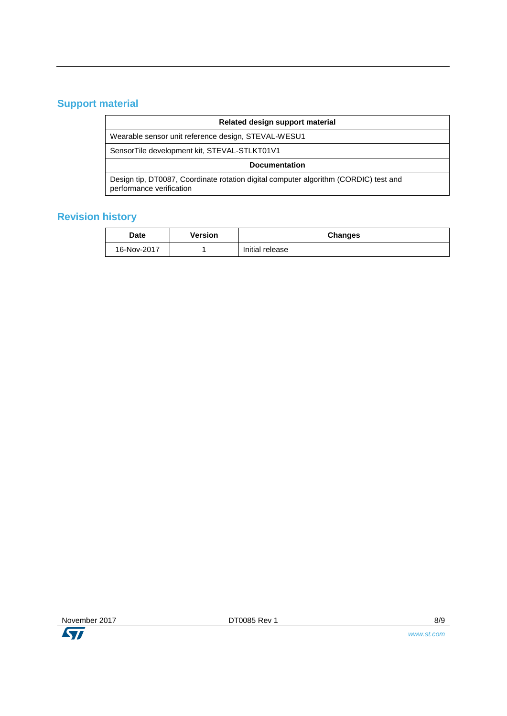# **Support material**

| Related design support material                                                                                  |  |  |  |
|------------------------------------------------------------------------------------------------------------------|--|--|--|
| Wearable sensor unit reference design, STEVAL-WESU1                                                              |  |  |  |
| SensorTile development kit, STEVAL-STLKT01V1                                                                     |  |  |  |
| <b>Documentation</b>                                                                                             |  |  |  |
| Design tip, DT0087, Coordinate rotation digital computer algorithm (CORDIC) test and<br>performance verification |  |  |  |

# **Revision history**

| <b>Date</b> | Version | <b>Changes</b>  |
|-------------|---------|-----------------|
| 16-Nov-2017 |         | Initial release |